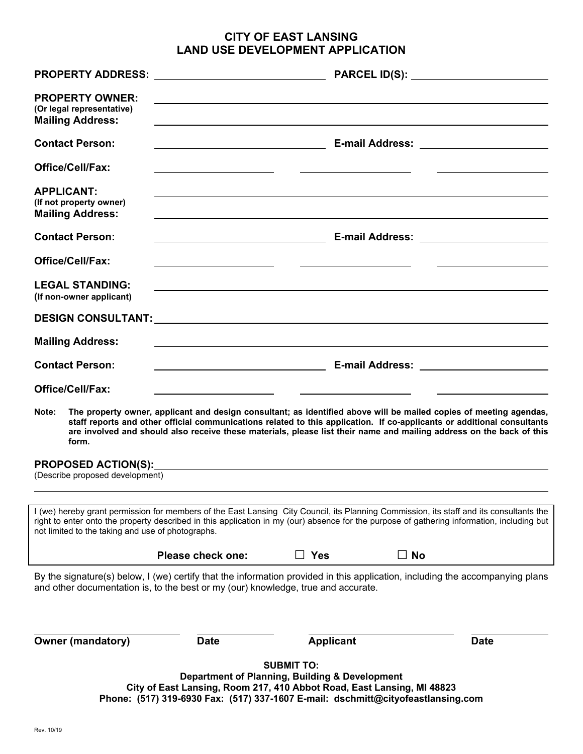# **CITY OF EAST LANSING LAND USE DEVELOPMENT APPLICATION**

| PROPERTY ADDRESS: _______________________________                                                                                                                                                                                                                                                                                          |                                                                                                                                                                                                                                                                                                                                                                       |                                                                     |                                   |             |
|--------------------------------------------------------------------------------------------------------------------------------------------------------------------------------------------------------------------------------------------------------------------------------------------------------------------------------------------|-----------------------------------------------------------------------------------------------------------------------------------------------------------------------------------------------------------------------------------------------------------------------------------------------------------------------------------------------------------------------|---------------------------------------------------------------------|-----------------------------------|-------------|
| <b>PROPERTY OWNER:</b><br>(Or legal representative)<br><b>Mailing Address:</b>                                                                                                                                                                                                                                                             |                                                                                                                                                                                                                                                                                                                                                                       |                                                                     |                                   |             |
| <b>Contact Person:</b>                                                                                                                                                                                                                                                                                                                     |                                                                                                                                                                                                                                                                                                                                                                       |                                                                     |                                   |             |
| <b>Office/Cell/Fax:</b>                                                                                                                                                                                                                                                                                                                    |                                                                                                                                                                                                                                                                                                                                                                       |                                                                     |                                   |             |
| <b>APPLICANT:</b><br>(If not property owner)<br><b>Mailing Address:</b>                                                                                                                                                                                                                                                                    |                                                                                                                                                                                                                                                                                                                                                                       |                                                                     |                                   |             |
| <b>Contact Person:</b>                                                                                                                                                                                                                                                                                                                     |                                                                                                                                                                                                                                                                                                                                                                       |                                                                     |                                   |             |
| <b>Office/Cell/Fax:</b>                                                                                                                                                                                                                                                                                                                    |                                                                                                                                                                                                                                                                                                                                                                       |                                                                     |                                   |             |
| <b>LEGAL STANDING:</b><br>(If non-owner applicant)                                                                                                                                                                                                                                                                                         |                                                                                                                                                                                                                                                                                                                                                                       |                                                                     |                                   |             |
|                                                                                                                                                                                                                                                                                                                                            |                                                                                                                                                                                                                                                                                                                                                                       |                                                                     |                                   |             |
| <b>Mailing Address:</b>                                                                                                                                                                                                                                                                                                                    | and the control of the control of the control of the control of the control of the control of the control of the                                                                                                                                                                                                                                                      |                                                                     |                                   |             |
| <b>Contact Person:</b>                                                                                                                                                                                                                                                                                                                     |                                                                                                                                                                                                                                                                                                                                                                       |                                                                     | E-mail Address: National Address: |             |
| <b>Office/Cell/Fax:</b>                                                                                                                                                                                                                                                                                                                    |                                                                                                                                                                                                                                                                                                                                                                       |                                                                     |                                   |             |
| Note:<br>form.                                                                                                                                                                                                                                                                                                                             | The property owner, applicant and design consultant; as identified above will be mailed copies of meeting agendas,<br>staff reports and other official communications related to this application. If co-applicants or additional consultants<br>are involved and should also receive these materials, please list their name and mailing address on the back of this |                                                                     |                                   |             |
| <b>PROPOSED ACTION(S):</b><br>(Describe proposed development)                                                                                                                                                                                                                                                                              |                                                                                                                                                                                                                                                                                                                                                                       |                                                                     |                                   |             |
| I (we) hereby grant permission for members of the East Lansing City Council, its Planning Commission, its staff and its consultants the<br>right to enter onto the property described in this application in my (our) absence for the purpose of gathering information, including but<br>not limited to the taking and use of photographs. |                                                                                                                                                                                                                                                                                                                                                                       |                                                                     |                                   |             |
|                                                                                                                                                                                                                                                                                                                                            | <b>Please check one:</b>                                                                                                                                                                                                                                                                                                                                              | $\Box$ Yes                                                          | $\square$ No                      |             |
| By the signature(s) below, I (we) certify that the information provided in this application, including the accompanying plans<br>and other documentation is, to the best or my (our) knowledge, true and accurate.                                                                                                                         |                                                                                                                                                                                                                                                                                                                                                                       |                                                                     |                                   |             |
| <b>Owner (mandatory)</b>                                                                                                                                                                                                                                                                                                                   | <b>Date</b>                                                                                                                                                                                                                                                                                                                                                           | <b>Applicant</b>                                                    |                                   | <b>Date</b> |
|                                                                                                                                                                                                                                                                                                                                            | City of East Lansing, Room 217, 410 Abbot Road, East Lansing, MI 48823                                                                                                                                                                                                                                                                                                | <b>SUBMIT TO:</b><br>Department of Planning, Building & Development |                                   |             |

**Phone: (517) 319-6930 Fax: (517) 337-1607 E-mail: dschmitt@cityofeastlansing.com**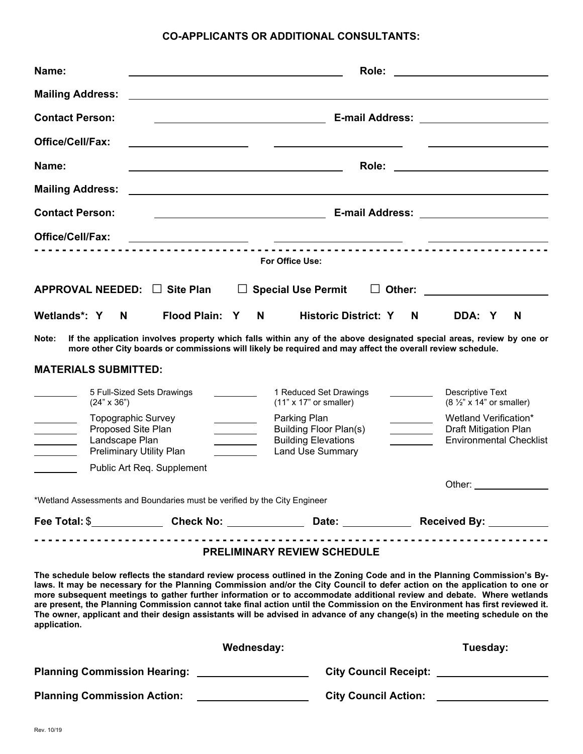# **CO-APPLICANTS OR ADDITIONAL CONSULTANTS:**

| Name:                                                                                                                                                        |                                                                                                           |                                                                                                                                                                        | Role:                                    |   |                                                                                                                                                                                                                                                                                                                                                                                                                                                                                                                                                                                                                                                |
|--------------------------------------------------------------------------------------------------------------------------------------------------------------|-----------------------------------------------------------------------------------------------------------|------------------------------------------------------------------------------------------------------------------------------------------------------------------------|------------------------------------------|---|------------------------------------------------------------------------------------------------------------------------------------------------------------------------------------------------------------------------------------------------------------------------------------------------------------------------------------------------------------------------------------------------------------------------------------------------------------------------------------------------------------------------------------------------------------------------------------------------------------------------------------------------|
| <b>Mailing Address:</b>                                                                                                                                      |                                                                                                           | and the control of the control of the control of the control of the control of the control of the control of the                                                       |                                          |   |                                                                                                                                                                                                                                                                                                                                                                                                                                                                                                                                                                                                                                                |
| <b>Contact Person:</b>                                                                                                                                       |                                                                                                           |                                                                                                                                                                        |                                          |   |                                                                                                                                                                                                                                                                                                                                                                                                                                                                                                                                                                                                                                                |
| Office/Cell/Fax:                                                                                                                                             |                                                                                                           | <u> 1989 - Johann Stoff, amerikansk politiker (d. 1989)</u>                                                                                                            |                                          |   |                                                                                                                                                                                                                                                                                                                                                                                                                                                                                                                                                                                                                                                |
| Name:                                                                                                                                                        | the contract of the contract of the contract of the contract of the contract of                           |                                                                                                                                                                        |                                          |   | Role: _________________________                                                                                                                                                                                                                                                                                                                                                                                                                                                                                                                                                                                                                |
| <b>Mailing Address:</b>                                                                                                                                      |                                                                                                           |                                                                                                                                                                        |                                          |   |                                                                                                                                                                                                                                                                                                                                                                                                                                                                                                                                                                                                                                                |
| <b>Contact Person:</b>                                                                                                                                       |                                                                                                           | <u> 1980 - Johann Barnett, fransk politiker (</u>                                                                                                                      |                                          |   | <b>E-mail Address:</b> E-mail Address:                                                                                                                                                                                                                                                                                                                                                                                                                                                                                                                                                                                                         |
| <b>Office/Cell/Fax:</b>                                                                                                                                      |                                                                                                           | <u> 1980 - Andrea Andrew Maria (h. 1980).</u>                                                                                                                          |                                          |   |                                                                                                                                                                                                                                                                                                                                                                                                                                                                                                                                                                                                                                                |
|                                                                                                                                                              |                                                                                                           | For Office Use:                                                                                                                                                        |                                          |   |                                                                                                                                                                                                                                                                                                                                                                                                                                                                                                                                                                                                                                                |
| APPROVAL NEEDED: $\Box$ Site Plan                                                                                                                            |                                                                                                           | <b>Special Use Permit</b>                                                                                                                                              | $\mathsf{L}$                             |   |                                                                                                                                                                                                                                                                                                                                                                                                                                                                                                                                                                                                                                                |
| Wetlands*: Y<br>N                                                                                                                                            | Flood Plain: Y                                                                                            | N                                                                                                                                                                      | <b>Historic District: Y</b>              | N | DDA: Y<br>N                                                                                                                                                                                                                                                                                                                                                                                                                                                                                                                                                                                                                                    |
| Note:                                                                                                                                                        | more other City boards or commissions will likely be required and may affect the overall review schedule. |                                                                                                                                                                        |                                          |   | If the application involves property which falls within any of the above designated special areas, review by one or                                                                                                                                                                                                                                                                                                                                                                                                                                                                                                                            |
| <b>MATERIALS SUBMITTED:</b>                                                                                                                                  |                                                                                                           |                                                                                                                                                                        |                                          |   |                                                                                                                                                                                                                                                                                                                                                                                                                                                                                                                                                                                                                                                |
| $(24" \times 36")$                                                                                                                                           | 5 Full-Sized Sets Drawings                                                                                | $(11" \times 17"$ or smaller)                                                                                                                                          | 1 Reduced Set Drawings                   |   | Descriptive Text<br>$(8 \frac{1}{2}$ " x 14" or smaller)                                                                                                                                                                                                                                                                                                                                                                                                                                                                                                                                                                                       |
| Landscape Plan                                                                                                                                               | <b>Topographic Survey</b><br>Proposed Site Plan<br><b>Preliminary Utility Plan</b>                        | Parking Plan<br>$\overline{\phantom{a}}$<br><b>Building Floor Plan(s)</b><br><b>Building Elevations</b><br><u> 1999 - Johann Barnett, f</u><br><b>Land Use Summary</b> |                                          |   | Wetland Verification*<br><b>Draft Mitigation Plan</b><br><b>Environmental Checklist</b>                                                                                                                                                                                                                                                                                                                                                                                                                                                                                                                                                        |
|                                                                                                                                                              | Public Art Req. Supplement                                                                                |                                                                                                                                                                        |                                          |   |                                                                                                                                                                                                                                                                                                                                                                                                                                                                                                                                                                                                                                                |
|                                                                                                                                                              | *Wetland Assessments and Boundaries must be verified by the City Engineer                                 |                                                                                                                                                                        |                                          |   | Other:                                                                                                                                                                                                                                                                                                                                                                                                                                                                                                                                                                                                                                         |
|                                                                                                                                                              |                                                                                                           |                                                                                                                                                                        |                                          |   | Fee Total: \$_______________Check No: ________________Date: _______________Received By: ____________                                                                                                                                                                                                                                                                                                                                                                                                                                                                                                                                           |
| application.                                                                                                                                                 |                                                                                                           | <b>PRELIMINARY REVIEW SCHEDULE</b>                                                                                                                                     |                                          |   | The schedule below reflects the standard review process outlined in the Zoning Code and in the Planning Commission's By-<br>laws. It may be necessary for the Planning Commission and/or the City Council to defer action on the application to one or<br>more subsequent meetings to gather further information or to accommodate additional review and debate. Where wetlands<br>are present, the Planning Commission cannot take final action until the Commission on the Environment has first reviewed it.<br>The owner, applicant and their design assistants will be advised in advance of any change(s) in the meeting schedule on the |
|                                                                                                                                                              |                                                                                                           | <b>Wednesday:</b>                                                                                                                                                      |                                          |   | Tuesday:                                                                                                                                                                                                                                                                                                                                                                                                                                                                                                                                                                                                                                       |
|                                                                                                                                                              |                                                                                                           |                                                                                                                                                                        |                                          |   |                                                                                                                                                                                                                                                                                                                                                                                                                                                                                                                                                                                                                                                |
| <b>Planning Commission Action:</b><br><u> 1990 - John Stein, mars and de Branch and de Branch and de Branch and de Branch and de Branch and de Branch an</u> |                                                                                                           |                                                                                                                                                                        | City Council Action: ___________________ |   |                                                                                                                                                                                                                                                                                                                                                                                                                                                                                                                                                                                                                                                |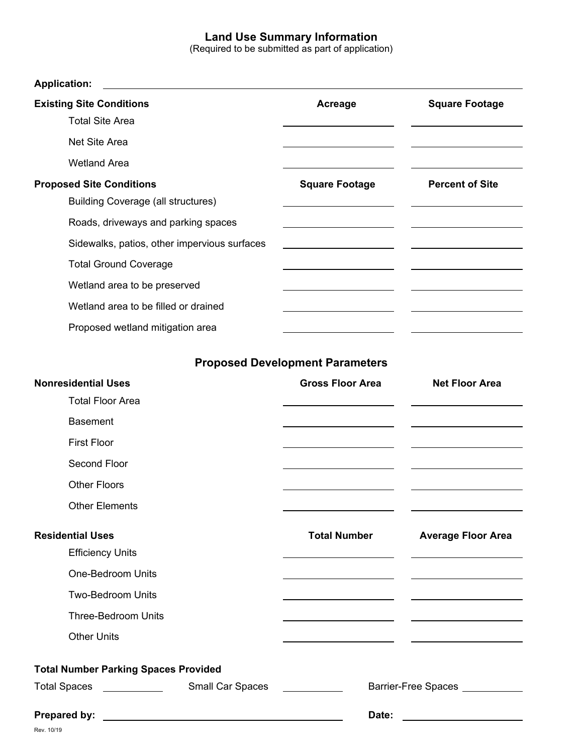### **Land Use Summary Information**

(Required to be submitted as part of application)

| <b>Application:</b>                                                                                                                  |                                                                                           |                                  |
|--------------------------------------------------------------------------------------------------------------------------------------|-------------------------------------------------------------------------------------------|----------------------------------|
| <b>Existing Site Conditions</b>                                                                                                      | Acreage                                                                                   | <b>Square Footage</b>            |
| <b>Total Site Area</b>                                                                                                               |                                                                                           |                                  |
| Net Site Area                                                                                                                        |                                                                                           |                                  |
| <b>Wetland Area</b>                                                                                                                  |                                                                                           |                                  |
| <b>Proposed Site Conditions</b><br><b>Building Coverage (all structures)</b>                                                         | <b>Square Footage</b>                                                                     | <b>Percent of Site</b>           |
| Roads, driveways and parking spaces                                                                                                  |                                                                                           |                                  |
| Sidewalks, patios, other impervious surfaces                                                                                         |                                                                                           |                                  |
| <b>Total Ground Coverage</b>                                                                                                         |                                                                                           |                                  |
| Wetland area to be preserved                                                                                                         |                                                                                           |                                  |
| Wetland area to be filled or drained                                                                                                 |                                                                                           |                                  |
| Proposed wetland mitigation area                                                                                                     |                                                                                           |                                  |
|                                                                                                                                      |                                                                                           |                                  |
|                                                                                                                                      | <b>Proposed Development Parameters</b>                                                    |                                  |
| <b>Nonresidential Uses</b>                                                                                                           | <b>Gross Floor Area</b>                                                                   | <b>Net Floor Area</b>            |
| <b>Total Floor Area</b>                                                                                                              |                                                                                           |                                  |
| <b>Basement</b>                                                                                                                      |                                                                                           |                                  |
| <b>First Floor</b>                                                                                                                   |                                                                                           |                                  |
| Second Floor                                                                                                                         |                                                                                           |                                  |
| <b>Other Floors</b>                                                                                                                  |                                                                                           |                                  |
| <b>Other Elements</b>                                                                                                                |                                                                                           |                                  |
| <b>Residential Uses</b><br><b>Efficiency Units</b>                                                                                   | <b>Total Number</b>                                                                       | <b>Average Floor Area</b>        |
| One-Bedroom Units                                                                                                                    | <u> 1980 - Andrea Andrew Maria (h. 1980).</u>                                             |                                  |
| <b>Two-Bedroom Units</b>                                                                                                             |                                                                                           |                                  |
| <b>Three-Bedroom Units</b>                                                                                                           |                                                                                           |                                  |
| <b>Other Units</b>                                                                                                                   | the control of the control of the control of the control of the control of the control of |                                  |
| <b>Total Number Parking Spaces Provided</b>                                                                                          |                                                                                           |                                  |
| Total Spaces ___________                                                                                                             |                                                                                           | Barrier-Free Spaces ____________ |
| Prepared by:<br><u> Alexandria de la contrada de la contrada de la contrada de la contrada de la contrada de la contrada de la c</u> | Date:                                                                                     |                                  |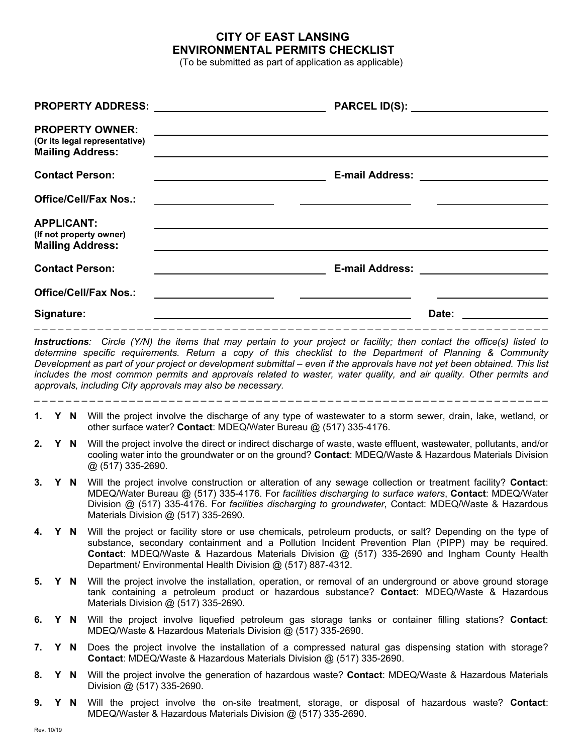#### **CITY OF EAST LANSING ENVIRONMENTAL PERMITS CHECKLIST**

(To be submitted as part of application as applicable)

|    |                   |     | <b>PROPERTY ADDRESS:</b>                                                           | PARCEL ID(S): The contract of the contract of the contract of the contract of the contract of the contract of the contract of the contract of the contract of the contract of the contract of the contract of the contract of                                                                                                                                                                                                                                                                                                                            |
|----|-------------------|-----|------------------------------------------------------------------------------------|----------------------------------------------------------------------------------------------------------------------------------------------------------------------------------------------------------------------------------------------------------------------------------------------------------------------------------------------------------------------------------------------------------------------------------------------------------------------------------------------------------------------------------------------------------|
|    |                   |     | <b>PROPERTY OWNER:</b><br>(Or its legal representative)<br><b>Mailing Address:</b> |                                                                                                                                                                                                                                                                                                                                                                                                                                                                                                                                                          |
|    |                   |     | <b>Contact Person:</b>                                                             | <b>E-mail Address:</b> E-mail Address:                                                                                                                                                                                                                                                                                                                                                                                                                                                                                                                   |
|    |                   |     | <b>Office/Cell/Fax Nos.:</b>                                                       |                                                                                                                                                                                                                                                                                                                                                                                                                                                                                                                                                          |
|    | <b>APPLICANT:</b> |     | (If not property owner)<br><b>Mailing Address:</b>                                 |                                                                                                                                                                                                                                                                                                                                                                                                                                                                                                                                                          |
|    |                   |     | <b>Contact Person:</b>                                                             | <b>E-mail Address:</b>                                                                                                                                                                                                                                                                                                                                                                                                                                                                                                                                   |
|    |                   |     | <b>Office/Cell/Fax Nos.:</b>                                                       |                                                                                                                                                                                                                                                                                                                                                                                                                                                                                                                                                          |
|    | Signature:        |     |                                                                                    | Date:                                                                                                                                                                                                                                                                                                                                                                                                                                                                                                                                                    |
|    |                   |     |                                                                                    | Instructions: Circle (Y/N) the items that may pertain to your project or facility; then contact the office(s) listed to<br>determine specific requirements. Return a copy of this checklist to the Department of Planning & Community<br>Development as part of your project or development submittal – even if the approvals have not yet been obtained. This list<br>includes the most common permits and approvals related to waster, water quality, and air quality. Other permits and<br>approvals, including City approvals may also be necessary. |
|    |                   |     |                                                                                    | 1. Y N Will the project involve the discharge of any type of wastewater to a storm sewer, drain, lake, wetland, or<br>other surface water? Contact: MDEQ/Water Bureau @ (517) 335-4176.                                                                                                                                                                                                                                                                                                                                                                  |
| 2. | Y N               |     | @ (517) 335-2690.                                                                  | Will the project involve the direct or indirect discharge of waste, waste effluent, wastewater, pollutants, and/or<br>cooling water into the groundwater or on the ground? Contact: MDEQ/Waste & Hazardous Materials Division                                                                                                                                                                                                                                                                                                                            |
| 3. |                   | Y N |                                                                                    | Will the project involve construction or alteration of any sewage collection or treatment facility? Contact:<br>MDEQ/Water Bureau @ (517) 335-4176. For facilities discharging to surface waters, Contact: MDEQ/Water<br>Division @ (517) 335-4176. For facilities discharging to groundwater, Contact: MDEQ/Waste & Hazardous<br>Materials Division @ (517) 335-2690.                                                                                                                                                                                   |
| 4. |                   | Y N |                                                                                    | Will the project or facility store or use chemicals, petroleum products, or salt? Depending on the type of<br>substance, secondary containment and a Pollution Incident Prevention Plan (PIPP) may be required.<br>Contact: MDEQ/Waste & Hazardous Materials Division @ (517) 335-2690 and Ingham County Health<br>Department/ Environmental Health Division @ (517) 887-4312.                                                                                                                                                                           |
| 5. |                   | Y N |                                                                                    | Will the project involve the installation, operation, or removal of an underground or above ground storage<br>tank containing a petroleum product or hazardous substance? Contact: MDEQ/Waste & Hazardous<br>Materials Division @ (517) 335-2690.                                                                                                                                                                                                                                                                                                        |
| 6. |                   |     |                                                                                    | Y N Will the project involve liquefied petroleum gas storage tanks or container filling stations? Contact:<br>MDEQ/Waste & Hazardous Materials Division @ (517) 335-2690.                                                                                                                                                                                                                                                                                                                                                                                |
| 7. |                   | Y N |                                                                                    | Does the project involve the installation of a compressed natural gas dispensing station with storage?<br>Contact: MDEQ/Waste & Hazardous Materials Division @ (517) 335-2690.                                                                                                                                                                                                                                                                                                                                                                           |
| 8. |                   | Y N | Division @ (517) 335-2690.                                                         | Will the project involve the generation of hazardous waste? Contact: MDEQ/Waste & Hazardous Materials                                                                                                                                                                                                                                                                                                                                                                                                                                                    |
|    |                   |     |                                                                                    |                                                                                                                                                                                                                                                                                                                                                                                                                                                                                                                                                          |

**9. Y N** Will the project involve the on-site treatment, storage, or disposal of hazardous waste? **Contact**: MDEQ/Waster & Hazardous Materials Division @ (517) 335-2690.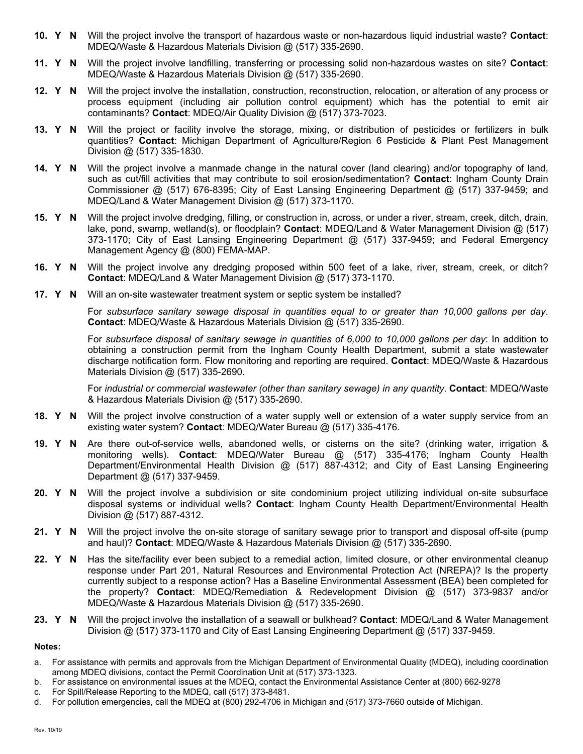- **10. Y N** Will the project involve the transport of hazardous waste or non-hazardous liquid industrial waste? **Contact**: MDEQ/Waste & Hazardous Materials Division @ (517) 335-2690.
- **11. Y N** Will the project involve landfilling, transferring or processing solid non-hazardous wastes on site? **Contact**: MDEQ/Waste & Hazardous Materials Division @ (517) 335-2690.
- **12. Y N** Will the project involve the installation, construction, reconstruction, relocation, or alteration of any process or process equipment (including air pollution control equipment) which has the potential to emit air contaminants? **Contact**: MDEQ/Air Quality Division @ (517) 373-7023.
- **13. Y N** Will the project or facility involve the storage, mixing, or distribution of pesticides or fertilizers in bulk quantities? **Contact**: Michigan Department of Agriculture/Region 6 Pesticide & Plant Pest Management Division @ (517) 335-1830.
- **14. Y N** Will the project involve a manmade change in the natural cover (land clearing) and/or topography of land, such as cut/fill activities that may contribute to soil erosion/sedimentation? **Contact**: Ingham County Drain Commissioner @ (517) 676-8395; City of East Lansing Engineering Department @ (517) 337-9459; and MDEQ/Land & Water Management Division @ (517) 373-1170.
- **15. Y N** Will the project involve dredging, filling, or construction in, across, or under a river, stream, creek, ditch, drain, lake, pond, swamp, wetland(s), or floodplain? **Contact**: MDEQ/Land & Water Management Division @ (517) 373-1170; City of East Lansing Engineering Department @ (517) 337-9459; and Federal Emergency Management Agency @ (800) FEMA-MAP.
- **16. Y N** Will the project involve any dredging proposed within 500 feet of a lake, river, stream, creek, or ditch? **Contact**: MDEQ/Land & Water Management Division @ (517) 373-1170.
- **17. Y N** Will an on-site wastewater treatment system or septic system be installed?

 For *subsurface sanitary sewage disposal in quantities equal to or greater than 10,000 gallons per day*. **Contact**: MDEQ/Waste & Hazardous Materials Division @ (517) 335-2690.

 For *subsurface disposal of sanitary sewage in quantities of 6,000 to 10,000 gallons per day*: In addition to obtaining a construction permit from the Ingham County Health Department, submit a state wastewater discharge notification form. Flow monitoring and reporting are required. **Contact**: MDEQ/Waste & Hazardous Materials Division @ (517) 335-2690.

 For *industrial or commercial wastewater (other than sanitary sewage) in any quantity*. **Contact**: MDEQ/Waste & Hazardous Materials Division @ (517) 335-2690.

- **18. Y N** Will the project involve construction of a water supply well or extension of a water supply service from an existing water system? **Contact**: MDEQ/Water Bureau @ (517) 335-4176.
- **19. Y N** Are there out-of-service wells, abandoned wells, or cisterns on the site? (drinking water, irrigation & monitoring wells). **Contact**: MDEQ/Water Bureau @ (517) 335-4176; Ingham County Health Department/Environmental Health Division @ (517) 887-4312; and City of East Lansing Engineering Department @ (517) 337-9459.
- **20. Y N** Will the project involve a subdivision or site condominium project utilizing individual on-site subsurface disposal systems or individual wells? **Contact**: Ingham County Health Department/Environmental Health Division @ (517) 887-4312.
- **21. Y N** Will the project involve the on-site storage of sanitary sewage prior to transport and disposal off-site (pump and haul)? **Contact**: MDEQ/Waste & Hazardous Materials Division @ (517) 335-2690.
- 22. Y N Has the site/facility ever been subject to a remedial action, limited closure, or other environmental cleanup response under Part 201, Natural Resources and Environmental Protection Act (NREPA)? Is the property currently subject to a response action? Has a Baseline Environmental Assessment (BEA) been completed for the property? **Contact**: MDEQ/Remediation & Redevelopment Division @ (517) 373-9837 and/or MDEQ/Waste & Hazardous Materials Division @ (517) 335-2690.
- **23. Y N** Will the project involve the installation of a seawall or bulkhead? **Contact**: MDEQ/Land & Water Management Division @ (517) 373-1170 and City of East Lansing Engineering Department @ (517) 337-9459.

**Notes:** 

- a. For assistance with permits and approvals from the Michigan Department of Environmental Quality (MDEQ), including coordination among MDEQ divisions, contact the Permit Coordination Unit at (517) 373-1323.
- b. For assistance on environmental issues at the MDEQ, contact the Environmental Assistance Center at (800) 662-9278
- c. For Spill/Release Reporting to the MDEQ, call (517) 373-8481.
- d. For pollution emergencies, call the MDEQ at (800) 292-4706 in Michigan and (517) 373-7660 outside of Michigan.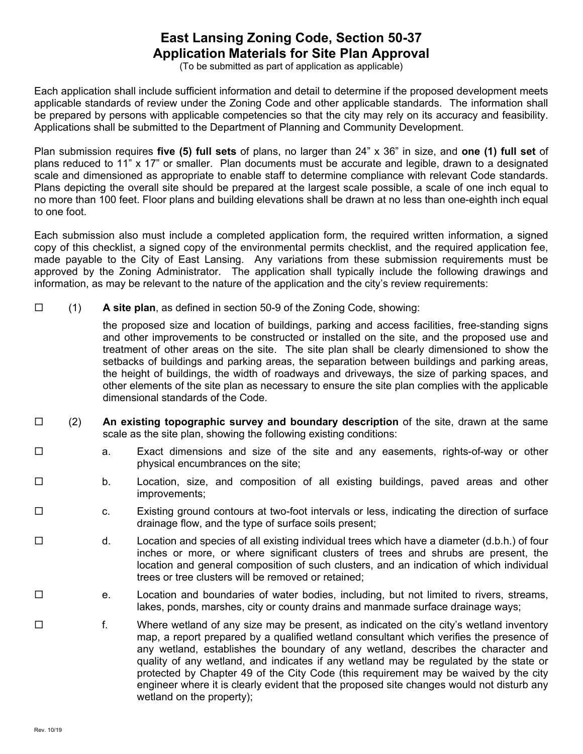# **East Lansing Zoning Code, Section 50-37 Application Materials for Site Plan Approval**

(To be submitted as part of application as applicable)

Each application shall include sufficient information and detail to determine if the proposed development meets applicable standards of review under the Zoning Code and other applicable standards. The information shall be prepared by persons with applicable competencies so that the city may rely on its accuracy and feasibility. Applications shall be submitted to the Department of Planning and Community Development.

Plan submission requires **five (5) full sets** of plans, no larger than 24" x 36" in size, and **one (1) full set** of plans reduced to 11" x 17" or smaller. Plan documents must be accurate and legible, drawn to a designated scale and dimensioned as appropriate to enable staff to determine compliance with relevant Code standards. Plans depicting the overall site should be prepared at the largest scale possible, a scale of one inch equal to no more than 100 feet. Floor plans and building elevations shall be drawn at no less than one-eighth inch equal to one foot.

Each submission also must include a completed application form, the required written information, a signed copy of this checklist, a signed copy of the environmental permits checklist, and the required application fee, made payable to the City of East Lansing. Any variations from these submission requirements must be approved by the Zoning Administrator. The application shall typically include the following drawings and information, as may be relevant to the nature of the application and the city's review requirements:

(1) **A site plan**, as defined in section 50-9 of the Zoning Code, showing:

 the proposed size and location of buildings, parking and access facilities, free-standing signs and other improvements to be constructed or installed on the site, and the proposed use and treatment of other areas on the site. The site plan shall be clearly dimensioned to show the setbacks of buildings and parking areas, the separation between buildings and parking areas, the height of buildings, the width of roadways and driveways, the size of parking spaces, and other elements of the site plan as necessary to ensure the site plan complies with the applicable dimensional standards of the Code.

- (2) **An existing topographic survey and boundary description** of the site, drawn at the same scale as the site plan, showing the following existing conditions:
- □ a. Exact dimensions and size of the site and any easements, rights-of-way or other physical encumbrances on the site;
- b. Location, size, and composition of all existing buildings, paved areas and other improvements;
- □ c. Existing ground contours at two-foot intervals or less, indicating the direction of surface drainage flow, and the type of surface soils present;

 $\square$  d. Location and species of all existing individual trees which have a diameter (d.b.h.) of four inches or more, or where significant clusters of trees and shrubs are present, the location and general composition of such clusters, and an indication of which individual trees or tree clusters will be removed or retained;

- □ e. Location and boundaries of water bodies, including, but not limited to rivers, streams, lakes, ponds, marshes, city or county drains and manmade surface drainage ways;
- $\square$  f. Where wetland of any size may be present, as indicated on the city's wetland inventory map, a report prepared by a qualified wetland consultant which verifies the presence of any wetland, establishes the boundary of any wetland, describes the character and quality of any wetland, and indicates if any wetland may be regulated by the state or protected by Chapter 49 of the City Code (this requirement may be waived by the city engineer where it is clearly evident that the proposed site changes would not disturb any wetland on the property);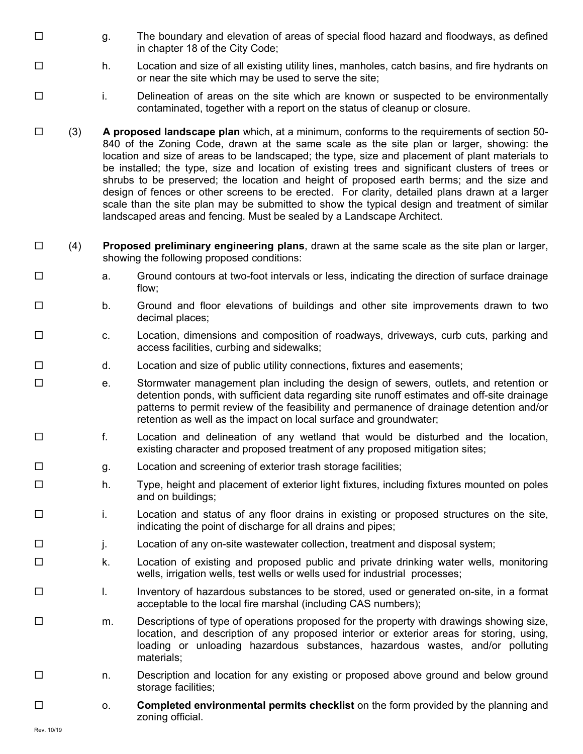- □ g. The boundary and elevation of areas of special flood hazard and floodways, as defined in chapter 18 of the City Code;
- $\square$  h. Location and size of all existing utility lines, manholes, catch basins, and fire hydrants on or near the site which may be used to serve the site;
- i. Delineation of areas on the site which are known or suspected to be environmentally contaminated, together with a report on the status of cleanup or closure.
- (3) **A proposed landscape plan** which, at a minimum, conforms to the requirements of section 50- 840 of the Zoning Code, drawn at the same scale as the site plan or larger, showing: the location and size of areas to be landscaped; the type, size and placement of plant materials to be installed; the type, size and location of existing trees and significant clusters of trees or shrubs to be preserved; the location and height of proposed earth berms; and the size and design of fences or other screens to be erected. For clarity, detailed plans drawn at a larger scale than the site plan may be submitted to show the typical design and treatment of similar landscaped areas and fencing. Must be sealed by a Landscape Architect.
- (4) **Proposed preliminary engineering plans**, drawn at the same scale as the site plan or larger, showing the following proposed conditions:
- $\square$  a. Ground contours at two-foot intervals or less, indicating the direction of surface drainage flow;
- □ b. Ground and floor elevations of buildings and other site improvements drawn to two decimal places;
- □ c. Location, dimensions and composition of roadways, driveways, curb cuts, parking and access facilities, curbing and sidewalks;
- d. Location and size of public utility connections, fixtures and easements;
- □ e. Stormwater management plan including the design of sewers, outlets, and retention or detention ponds, with sufficient data regarding site runoff estimates and off-site drainage patterns to permit review of the feasibility and permanence of drainage detention and/or retention as well as the impact on local surface and groundwater;
- □ f. Location and delineation of any wetland that would be disturbed and the location, existing character and proposed treatment of any proposed mitigation sites;
- □ g. Location and screening of exterior trash storage facilities;
- $\square$  h. Type, height and placement of exterior light fixtures, including fixtures mounted on poles and on buildings;
- $\square$  i. Location and status of any floor drains in existing or proposed structures on the site, indicating the point of discharge for all drains and pipes;
- j. Location of any on-site wastewater collection, treatment and disposal system;
- □ bythe k. Location of existing and proposed public and private drinking water wells, monitoring wells, irrigation wells, test wells or wells used for industrial processes;
- l. Inventory of hazardous substances to be stored, used or generated on-site, in a format acceptable to the local fire marshal (including CAS numbers);
- □ m. Descriptions of type of operations proposed for the property with drawings showing size, location, and description of any proposed interior or exterior areas for storing, using, loading or unloading hazardous substances, hazardous wastes, and/or polluting materials;
- □ 1. Description and location for any existing or proposed above ground and below ground storage facilities;
- □ **b.** Completed environmental permits checklist on the form provided by the planning and zoning official.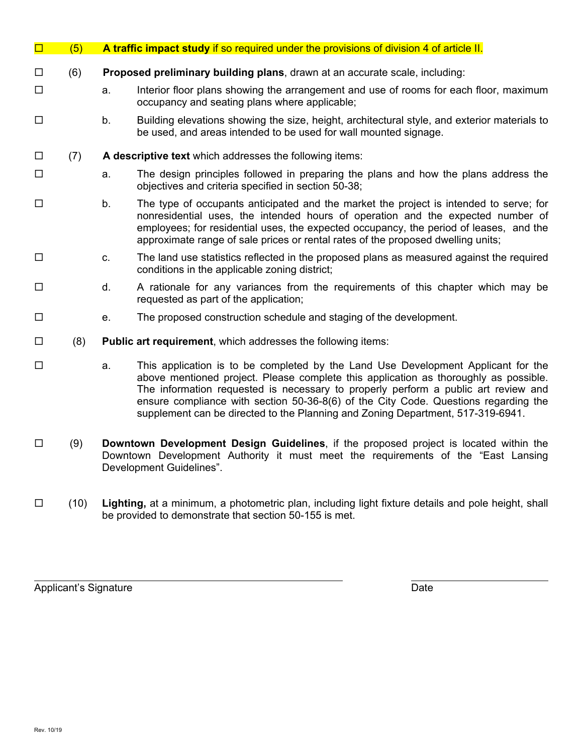- (5) **A traffic impact study** if so required under the provisions of division 4 of article II. (6) **Proposed preliminary building plans**, drawn at an accurate scale, including: □ a. Interior floor plans showing the arrangement and use of rooms for each floor, maximum occupancy and seating plans where applicable;  $\square$  b. Building elevations showing the size, height, architectural style, and exterior materials to be used, and areas intended to be used for wall mounted signage. (7) **A descriptive text** which addresses the following items:  $\square$  a. The design principles followed in preparing the plans and how the plans address the objectives and criteria specified in section 50-38;  $\square$  b. The type of occupants anticipated and the market the project is intended to serve; for nonresidential uses, the intended hours of operation and the expected number of employees; for residential uses, the expected occupancy, the period of leases, and the approximate range of sale prices or rental rates of the proposed dwelling units;  $\square$  c. The land use statistics reflected in the proposed plans as measured against the required conditions in the applicable zoning district;  $\Box$  d. A rationale for any variances from the requirements of this chapter which may be requested as part of the application;  $\square$  e. The proposed construction schedule and staging of the development. (8) **Public art requirement**, which addresses the following items: □ a. This application is to be completed by the Land Use Development Applicant for the above mentioned project. Please complete this application as thoroughly as possible. The information requested is necessary to properly perform a public art review and ensure compliance with section 50-36-8(6) of the City Code. Questions regarding the supplement can be directed to the Planning and Zoning Department, 517-319-6941. (9) **Downtown Development Design Guidelines**, if the proposed project is located within the Downtown Development Authority it must meet the requirements of the "East Lansing Development Guidelines".
- (10) **Lighting,** at a minimum, a photometric plan, including light fixture details and pole height, shall be provided to demonstrate that section 50-155 is met.

 $\overline{a}$ Applicant's Signature **Date**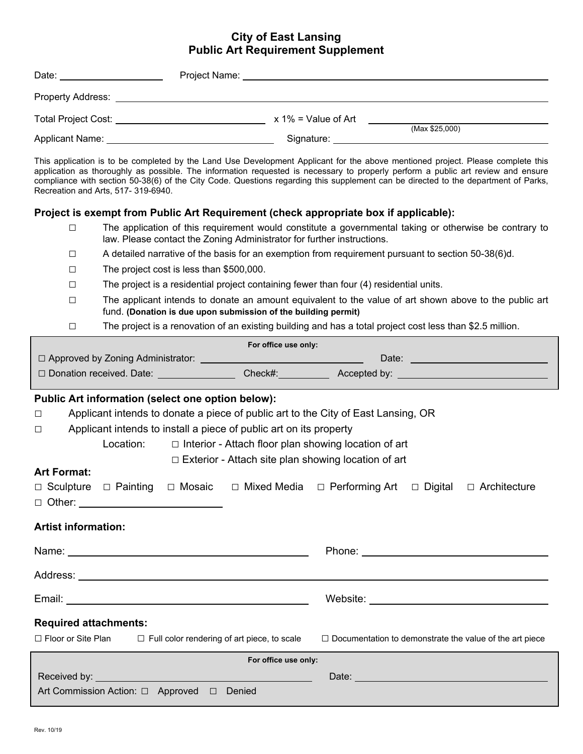# **City of East Lansing Public Art Requirement Supplement**

| Date:                    | Project Name: |                        |                |  |
|--------------------------|---------------|------------------------|----------------|--|
| <b>Property Address:</b> |               |                        |                |  |
| Total Project Cost:      |               | $x 1\% =$ Value of Art |                |  |
| <b>Applicant Name:</b>   |               | Signature:             | (Max \$25,000) |  |

This application is to be completed by the Land Use Development Applicant for the above mentioned project. Please complete this application as thoroughly as possible. The information requested is necessary to properly perform a public art review and ensure compliance with section 50-38(6) of the City Code. Questions regarding this supplement can be directed to the department of Parks, Recreation and Arts, 517- 319-6940.

#### **Project is exempt from Public Art Requirement (check appropriate box if applicable):**

- □ The application of this requirement would constitute a governmental taking or otherwise be contrary to law. Please contact the Zoning Administrator for further instructions.
- $\Box$  A detailed narrative of the basis for an exemption from requirement pursuant to section 50-38(6)d.
- □ The project cost is less than \$500,000.
- $\square$  The project is a residential project containing fewer than four (4) residential units.
- □ The applicant intends to donate an amount equivalent to the value of art shown above to the public art fund. **(Donation is due upon submission of the building permit)**
- $\square$  The project is a renovation of an existing building and has a total project cost less than \$2.5 million.

|                                          | For office use only: |              |
|------------------------------------------|----------------------|--------------|
| $\Box$ Approved by Zoning Administrator: |                      | Date:        |
| $\Box$ Donation received. Date:          | Check#:              | Accepted by: |

#### **Public Art information (select one option below):**

- □ Applicant intends to donate a piece of public art to the City of East Lansing, OR
- □ Applicant intends to install a piece of public art on its property

Location:  $\Box$  Interior - Attach floor plan showing location of art

 $\square$  Exterior - Attach site plan showing location of art

#### **Art Format:**

|               |  | $\Box$ Sculpture $\Box$ Painting $\Box$ Mosaic $\Box$ Mixed Media $\Box$ Performing Art $\Box$ Digital $\Box$ Architecture |  |
|---------------|--|----------------------------------------------------------------------------------------------------------------------------|--|
| $\Box$ Other: |  |                                                                                                                            |  |

#### **Artist information:**

|                              | Name: 2008.000 million and 2008.000 million and 2008.000 million and 2008.000 million and 2008.000 million and |                                                                                                                                                                                                                               |
|------------------------------|----------------------------------------------------------------------------------------------------------------|-------------------------------------------------------------------------------------------------------------------------------------------------------------------------------------------------------------------------------|
|                              |                                                                                                                |                                                                                                                                                                                                                               |
|                              |                                                                                                                | Website: _________________________________                                                                                                                                                                                    |
| <b>Required attachments:</b> |                                                                                                                |                                                                                                                                                                                                                               |
|                              |                                                                                                                | $\Box$ Floor or Site Plan $\Box$ Full color rendering of art piece, to scale $\Box$ Documentation to demonstrate the value of the art piece                                                                                   |
|                              | For office use only:                                                                                           |                                                                                                                                                                                                                               |
|                              |                                                                                                                | Date: Date: Date: Date: Date: Date: Date: Date: Date: Date: Date: Date: Date: Date: Date: Date: Date: Date: Date: Date: Date: Date: Date: Date: Date: Date: Date: Date: Date: Date: Date: Date: Date: Date: Date: Date: Date: |
|                              | Art Commission Action: □ Approved □<br>Denied                                                                  |                                                                                                                                                                                                                               |